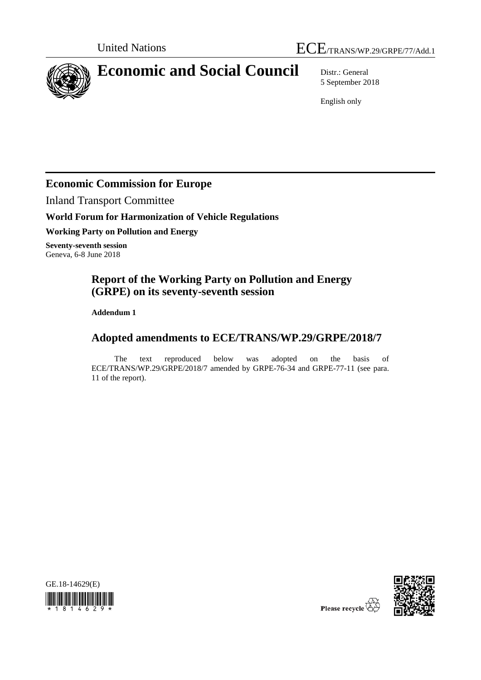



# **Economic and Social Council** Distr.: General

5 September 2018

English only

# **Economic Commission for Europe**

Inland Transport Committee

## **World Forum for Harmonization of Vehicle Regulations**

**Working Party on Pollution and Energy**

**Seventy-seventh session** Geneva, 6-8 June 2018

# **Report of the Working Party on Pollution and Energy (GRPE) on its seventy-seventh session**

**Addendum 1**

# **Adopted amendments to ECE/TRANS/WP.29/GRPE/2018/7**

The text reproduced below was adopted on the basis of ECE/TRANS/WP.29/GRPE/2018/7 amended by GRPE-76-34 and GRPE-77-11 (see para. 11 of the report).





Please recycle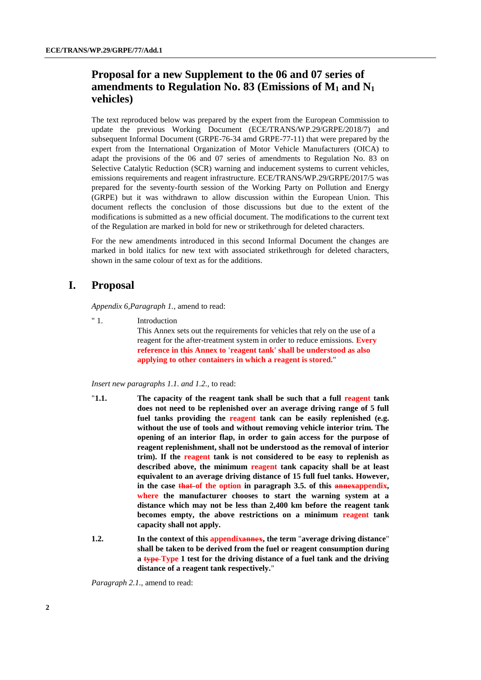## **Proposal for a new Supplement to the 06 and 07 series of amendments to Regulation No. 83 (Emissions of M<sup>1</sup> and N<sup>1</sup> vehicles)**

The text reproduced below was prepared by the expert from the European Commission to update the previous Working Document (ECE/TRANS/WP.29/GRPE/2018/7) and subsequent Informal Document (GRPE-76-34 amd GRPE-77-11) that were prepared by the expert from the International Organization of Motor Vehicle Manufacturers (OICA) to adapt the provisions of the 06 and 07 series of amendments to Regulation No. 83 on Selective Catalytic Reduction (SCR) warning and inducement systems to current vehicles, emissions requirements and reagent infrastructure. ECE/TRANS/WP.29/GRPE/2017/5 was prepared for the seventy-fourth session of the Working Party on Pollution and Energy (GRPE) but it was withdrawn to allow discussion within the European Union. This document reflects the conclusion of those discussions but due to the extent of the modifications is submitted as a new official document. The modifications to the current text of the Regulation are marked in bold for new or strikethrough for deleted characters.

For the new amendments introduced in this second Informal Document the changes are marked in bold italics for new text with associated strikethrough for deleted characters, shown in the same colour of text as for the additions.

#### **I. Proposal**

*Appendix 6,Paragraph 1.*, amend to read:

" 1. Introduction

This Annex sets out the requirements for vehicles that rely on the use of a reagent for the after-treatment system in order to reduce emissions. **Every reference in this Annex to 'reagent tank' shall be understood as also applying to other containers in which a reagent is stored.**"

#### *Insert new paragraphs 1.1. and 1.2.,* to read:

- "**1.1. The capacity of the reagent tank shall be such that a full reagent tank does not need to be replenished over an average driving range of 5 full fuel tanks providing the reagent tank can be easily replenished (e.g. without the use of tools and without removing vehicle interior trim. The opening of an interior flap, in order to gain access for the purpose of reagent replenishment, shall not be understood as the removal of interior trim). If the reagent tank is not considered to be easy to replenish as described above, the minimum reagent tank capacity shall be at least equivalent to an average driving distance of 15 full fuel tanks. However, in the case that of the option in paragraph 3.5. of this annexappendix, where the manufacturer chooses to start the warning system at a distance which may not be less than 2,400 km before the reagent tank becomes empty, the above restrictions on a minimum reagent tank capacity shall not apply.**
- **1.2. In the context of this appendixannex, the term** "**average driving distance**" **shall be taken to be derived from the fuel or reagent consumption during a type Type 1 test for the driving distance of a fuel tank and the driving distance of a reagent tank respectively.**"

*Paragraph 2.1.,* amend to read: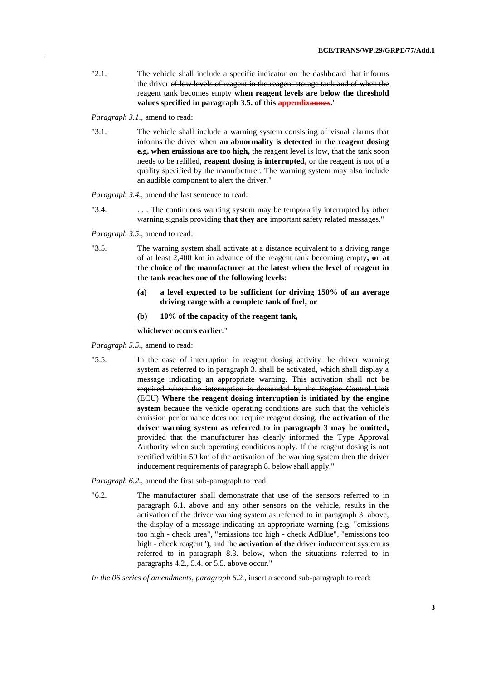"2.1. The vehicle shall include a specific indicator on the dashboard that informs the driver of low levels of reagent in the reagent storage tank and of when the reagent tank becomes empty **when reagent levels are below the threshold values specified in paragraph 3.5. of this appendixannex.**"

*Paragraph 3.1.,* amend to read:

"3.1. The vehicle shall include a warning system consisting of visual alarms that informs the driver when **an abnormality is detected in the reagent dosing e.g. when emissions are too high,** the reagent level is low, that the tank soon needs to be refilled, **reagent dosing is interrupted,** or the reagent is not of a quality specified by the manufacturer. The warning system may also include an audible component to alert the driver."

*Paragraph 3.4.,* amend the last sentence to read:

"3.4.  $\ldots$  The continuous warning system may be temporarily interrupted by other warning signals providing **that they are** important safety related messages."

*Paragraph 3.5.,* amend to read:

- "3.5. The warning system shall activate at a distance equivalent to a driving range of at least 2,400 km in advance of the reagent tank becoming empty**, or at the choice of the manufacturer at the latest when the level of reagent in the tank reaches one of the following levels:**
	- **(a) a level expected to be sufficient for driving 150% of an average driving range with a complete tank of fuel; or**
	- **(b) 10% of the capacity of the reagent tank,**

**whichever occurs earlier.**"

*Paragraph 5.5.,* amend to read:

"5.5. In the case of interruption in reagent dosing activity the driver warning system as referred to in paragraph 3. shall be activated, which shall display a message indicating an appropriate warning. This activation shall not be required where the interruption is demanded by the Engine Control Unit (ECU) **Where the reagent dosing interruption is initiated by the engine system** because the vehicle operating conditions are such that the vehicle's emission performance does not require reagent dosing, **the activation of the driver warning system as referred to in paragraph 3 may be omitted,** provided that the manufacturer has clearly informed the Type Approval Authority when such operating conditions apply. If the reagent dosing is not rectified within 50 km of the activation of the warning system then the driver inducement requirements of paragraph 8. below shall apply."

*Paragraph 6.2.,* amend the first sub-paragraph to read:

"6.2. The manufacturer shall demonstrate that use of the sensors referred to in paragraph 6.1. above and any other sensors on the vehicle, results in the activation of the driver warning system as referred to in paragraph 3. above, the display of a message indicating an appropriate warning (e.g. "emissions too high - check urea", "emissions too high - check AdBlue", "emissions too high - check reagent"), and the **activation of the** driver inducement system as referred to in paragraph 8.3. below, when the situations referred to in paragraphs 4.2., 5.4. or 5.5. above occur."

*In the 06 series of amendments, paragraph 6.2.,* insert a second sub-paragraph to read: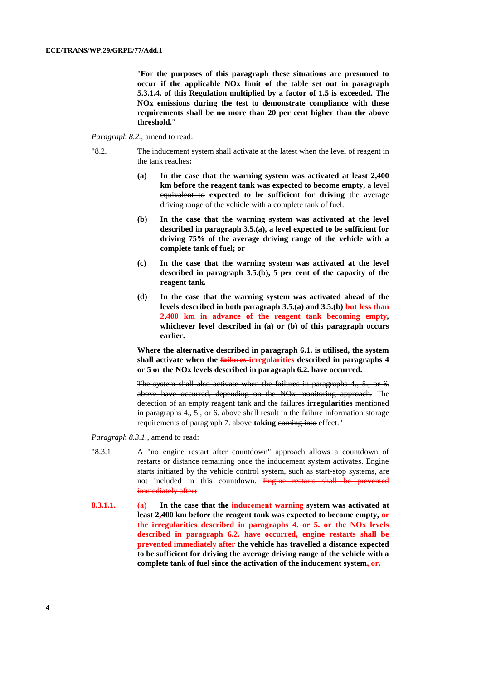"**For the purposes of this paragraph these situations are presumed to occur if the applicable NOx limit of the table set out in paragraph 5.3.1.4. of this Regulation multiplied by a factor of 1.5 is exceeded. The NOx emissions during the test to demonstrate compliance with these requirements shall be no more than 20 per cent higher than the above threshold.**"

#### *Paragraph 8.2.,* amend to read:

- "8.2. The inducement system shall activate at the latest when the level of reagent in the tank reaches**:**
	- **(a) In the case that the warning system was activated at least 2,400 km before the reagent tank was expected to become empty,** a level equivalent to **expected to be sufficient for driving** the average driving range of the vehicle with a complete tank of fuel.
	- **(b) In the case that the warning system was activated at the level described in paragraph 3.5.(a), a level expected to be sufficient for driving 75% of the average driving range of the vehicle with a complete tank of fuel; or**
	- **(c) In the case that the warning system was activated at the level described in paragraph 3.5.(b), 5 per cent of the capacity of the reagent tank.**
	- **(d) In the case that the warning system was activated ahead of the levels described in both paragraph 3.5.(a) and 3.5.(b) but less than 2,400 km in advance of the reagent tank becoming empty***,* **whichever level described in (a) or (b) of this paragraph occurs earlier.**

**Where the alternative described in paragraph 6.1. is utilised, the system shall activate when the failures irregularities described in paragraphs 4 or 5 or the NOx levels described in paragraph 6.2. have occurred.**

The system shall also activate when the failures in paragraphs 4., 5., or 6. above have occurred, depending on the NOx monitoring approach. The detection of an empty reagent tank and the failures **irregularities** mentioned in paragraphs 4., 5., or 6. above shall result in the failure information storage requirements of paragraph 7. above taking coming into effect."

*Paragraph 8.3.1.,* amend to read:

- "8.3.1. A "no engine restart after countdown" approach allows a countdown of restarts or distance remaining once the inducement system activates. Engine starts initiated by the vehicle control system, such as start-stop systems, are not included in this countdown. Engine restarts shall be prevented immediately after**:**
- **8.3.1.1. (a)** In the case that the **inducement**-warning system was activated at **least 2,400 km before the reagent tank was expected to become empty, or the irregularities described in paragraphs 4. or 5. or the NOx levels described in paragraph 6.2. have occurred, engine restarts shall be prevented immediately after the vehicle has travelled a distance expected to be sufficient for driving the average driving range of the vehicle with a complete tank of fuel since the activation of the inducement system, or.**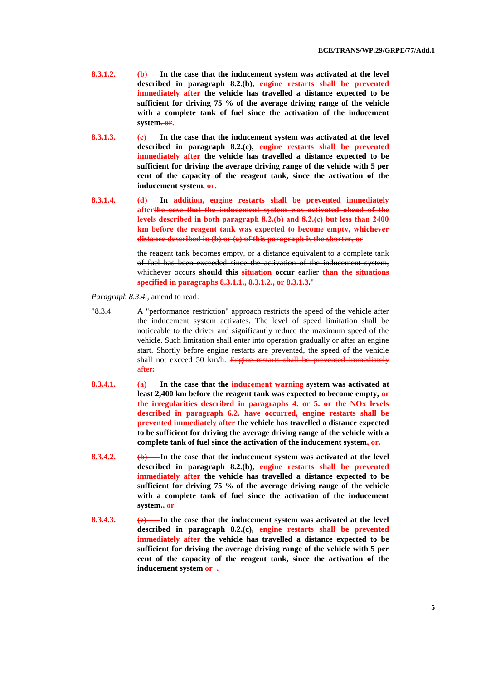- **8.3.1.2. (b) In the case that the inducement system was activated at the level described in paragraph 8.2.(b), engine restarts shall be prevented immediately after the vehicle has travelled a distance expected to be sufficient for driving 75 % of the average driving range of the vehicle with a complete tank of fuel since the activation of the inducement system, or.**
- **8.3.1.3. (e)** In the case that the inducement system was activated at the level **described in paragraph 8.2.(c), engine restarts shall be prevented immediately after the vehicle has travelled a distance expected to be sufficient for driving the average driving range of the vehicle with 5 per cent of the capacity of the reagent tank, since the activation of the**  inducement system, or.
- **8.3.1.4. (d) In addition, engine restarts shall be prevented immediately afterthe case that the inducement system was activated ahead of the levels described in both paragraph 8.2.(b) and 8.2.(c) but less than 2400 km before the reagent tank was expected to become empty, whichever distance described in (b) or (c) of this paragraph is the shorter, or**

the reagent tank becomes empty, or a distance equivalent to a complete tank of fuel has been exceeded since the activation of the inducement system, whichever occurs **should this situation occur** earlier **than the situations specified in paragraphs 8.3.1.1., 8.3.1.2., or 8.3.1.3***.*"

*Paragraph 8.3.4.,* amend to read:

- "8.3.4. A "performance restriction" approach restricts the speed of the vehicle after the inducement system activates. The level of speed limitation shall be noticeable to the driver and significantly reduce the maximum speed of the vehicle. Such limitation shall enter into operation gradually or after an engine start. Shortly before engine restarts are prevented, the speed of the vehicle shall not exceed 50 km/h. Engine restarts shall be prevented immediately after**:**
- **8.3.4.1. (a)** In the case that the inducement-warning system was activated at **least 2,400 km before the reagent tank was expected to become empty, or the irregularities described in paragraphs 4. or 5. or the NOx levels described in paragraph 6.2. have occurred, engine restarts shall be prevented immediately after the vehicle has travelled a distance expected to be sufficient for driving the average driving range of the vehicle with a complete tank of fuel since the activation of the inducement system, or.**
- **8.3.4.2. (b) In the case that the inducement system was activated at the level described in paragraph 8.2.(b), engine restarts shall be prevented immediately after the vehicle has travelled a distance expected to be sufficient for driving 75 % of the average driving range of the vehicle with a complete tank of fuel since the activation of the inducement system., or**
- **8.3.4.3. (e)** In the case that the inducement system was activated at the level **described in paragraph 8.2.(c), engine restarts shall be prevented immediately after the vehicle has travelled a distance expected to be sufficient for driving the average driving range of the vehicle with 5 per cent of the capacity of the reagent tank, since the activation of the**  inducement system-or-.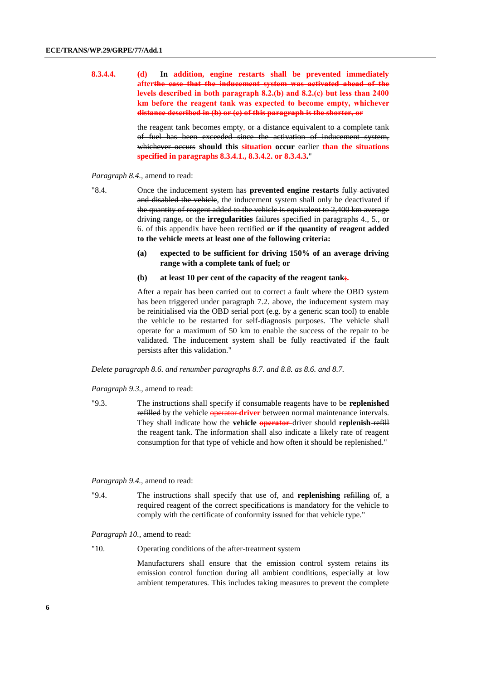**8.3.4.4. (d) In addition, engine restarts shall be prevented immediately afterthe case that the inducement system was activated ahead of the levels described in both paragraph 8.2.(b) and 8.2.(c) but less than 2400 km before the reagent tank was expected to become empty, whichever distance described in (b) or (c) of this paragraph is the shorter, or**

> the reagent tank becomes empty, or a distance equivalent to a complete tank of fuel has been exceeded since the activation of inducement system, whichever occurs **should this situation occur** earlier **than the situations specified in paragraphs 8.3.4.1., 8.3.4.2. or 8.3.4.3***.*"

#### *Paragraph 8.4.,* amend to read:

"8.4. Once the inducement system has **prevented engine restarts** fully activated and disabled the vehicle, the inducement system shall only be deactivated if the quantity of reagent added to the vehicle is equivalent to 2,400 km average driving range, or the **irregularities** failures specified in paragraphs 4., 5., or 6. of this appendix have been rectified **or if the quantity of reagent added to the vehicle meets at least one of the following criteria:**

- **(a) expected to be sufficient for driving 150% of an average driving range with a complete tank of fuel; or**
- **(b) at least 10 per cent of the capacity of the reagent tank;.**

After a repair has been carried out to correct a fault where the OBD system has been triggered under paragraph 7.2. above, the inducement system may be reinitialised via the OBD serial port (e.g. by a generic scan tool) to enable the vehicle to be restarted for self-diagnosis purposes. The vehicle shall operate for a maximum of 50 km to enable the success of the repair to be validated. The inducement system shall be fully reactivated if the fault persists after this validation."

*Delete paragraph 8.6. and renumber paragraphs 8.7. and 8.8. as 8.6. and 8.7.*

*Paragraph 9.3.,* amend to read:

"9.3. The instructions shall specify if consumable reagents have to be **replenished** refilled by the vehicle **operator driver** between normal maintenance intervals. They shall indicate how the **vehicle operator** driver should **replenish** refill the reagent tank. The information shall also indicate a likely rate of reagent consumption for that type of vehicle and how often it should be replenished."

*Paragraph 9.4.,* amend to read:

"9.4. The instructions shall specify that use of, and **replenishing** refilling of, a required reagent of the correct specifications is mandatory for the vehicle to comply with the certificate of conformity issued for that vehicle type."

*Paragraph 10.,* amend to read:

"10. Operating conditions of the after-treatment system

Manufacturers shall ensure that the emission control system retains its emission control function during all ambient conditions, especially at low ambient temperatures. This includes taking measures to prevent the complete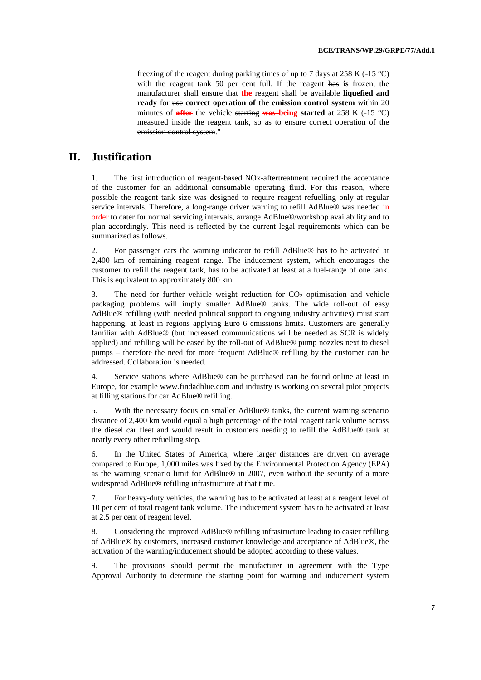freezing of the reagent during parking times of up to 7 days at 258 K (-15  $^{\circ}$ C) with the reagent tank 50 per cent full. If the reagent has **is** frozen, the manufacturer shall ensure that **the** reagent shall be available **liquefied and ready** for use **correct operation of the emission control system** within 20 minutes of **after** the vehicle starting **was being started** at 258 K (-15 °C) measured inside the reagent tank, so as to ensure correct operation of the emission control system."

### **II. Justification**

1. The first introduction of reagent-based NOx-aftertreatment required the acceptance of the customer for an additional consumable operating fluid. For this reason, where possible the reagent tank size was designed to require reagent refuelling only at regular service intervals. Therefore, a long-range driver warning to refill AdBlue® was needed in order to cater for normal servicing intervals, arrange AdBlue®/workshop availability and to plan accordingly. This need is reflected by the current legal requirements which can be summarized as follows.

2. For passenger cars the warning indicator to refill AdBlue® has to be activated at 2,400 km of remaining reagent range. The inducement system, which encourages the customer to refill the reagent tank, has to be activated at least at a fuel-range of one tank. This is equivalent to approximately 800 km.

3. The need for further vehicle weight reduction for  $CO<sub>2</sub>$  optimisation and vehicle packaging problems will imply smaller AdBlue® tanks. The wide roll-out of easy AdBlue® refilling (with needed political support to ongoing industry activities) must start happening, at least in regions applying Euro 6 emissions limits. Customers are generally familiar with AdBlue® (but increased communications will be needed as SCR is widely applied) and refilling will be eased by the roll-out of AdBlue® pump nozzles next to diesel pumps – therefore the need for more frequent AdBlue® refilling by the customer can be addressed. Collaboration is needed.

4. Service stations where AdBlue® can be purchased can be found online at least in Europe, for example www.findadblue.com and industry is working on several pilot projects at filling stations for car AdBlue® refilling.

5. With the necessary focus on smaller AdBlue® tanks, the current warning scenario distance of 2,400 km would equal a high percentage of the total reagent tank volume across the diesel car fleet and would result in customers needing to refill the AdBlue® tank at nearly every other refuelling stop.

6. In the United States of America, where larger distances are driven on average compared to Europe, 1,000 miles was fixed by the Environmental Protection Agency (EPA) as the warning scenario limit for AdBlue® in 2007, even without the security of a more widespread AdBlue® refilling infrastructure at that time.

7. For heavy-duty vehicles, the warning has to be activated at least at a reagent level of 10 per cent of total reagent tank volume. The inducement system has to be activated at least at 2.5 per cent of reagent level.

8. Considering the improved AdBlue® refilling infrastructure leading to easier refilling of AdBlue® by customers, increased customer knowledge and acceptance of AdBlue®, the activation of the warning/inducement should be adopted according to these values.

9. The provisions should permit the manufacturer in agreement with the Type Approval Authority to determine the starting point for warning and inducement system